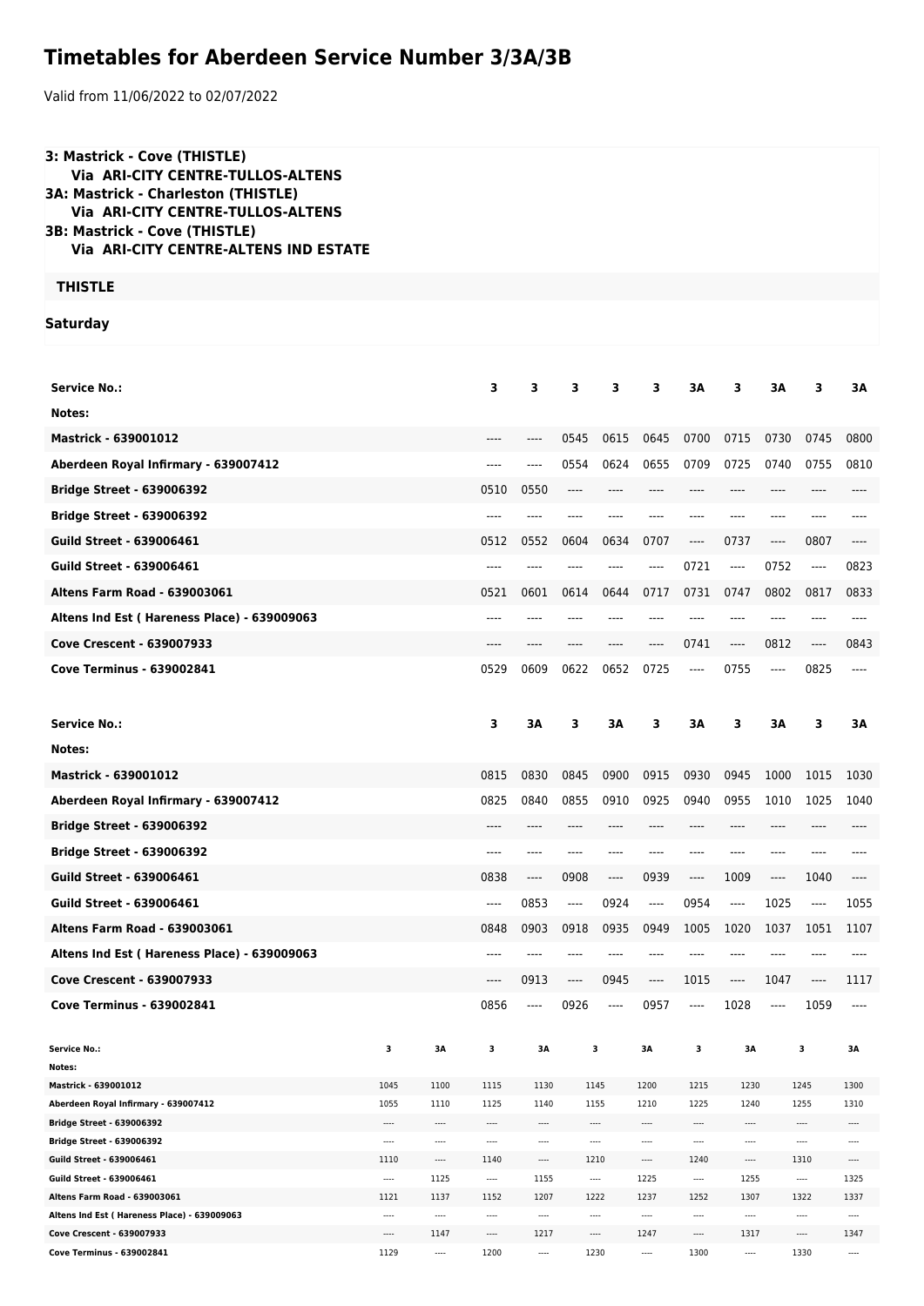## **Timetables for Aberdeen Service Number 3/3A/3B**

Valid from 11/06/2022 to 02/07/2022

| 3: Mastrick - Cove (THISTLE)<br><b>Via ARI-CITY CENTRE-TULLOS-ALTENS</b><br><b>3A: Mastrick - Charleston (THISTLE)</b><br><b>Via ARI-CITY CENTRE-TULLOS-ALTENS</b><br>3B: Mastrick - Cove (THISTLE)<br><b>Via ARI-CITY CENTRE-ALTENS IND ESTATE</b> |                  |                                 |                           |                  |                               |                                 |              |                                 |                               |                               |                                 |                  |
|-----------------------------------------------------------------------------------------------------------------------------------------------------------------------------------------------------------------------------------------------------|------------------|---------------------------------|---------------------------|------------------|-------------------------------|---------------------------------|--------------|---------------------------------|-------------------------------|-------------------------------|---------------------------------|------------------|
| <b>THISTLE</b>                                                                                                                                                                                                                                      |                  |                                 |                           |                  |                               |                                 |              |                                 |                               |                               |                                 |                  |
|                                                                                                                                                                                                                                                     |                  |                                 |                           |                  |                               |                                 |              |                                 |                               |                               |                                 |                  |
| <b>Saturday</b>                                                                                                                                                                                                                                     |                  |                                 |                           |                  |                               |                                 |              |                                 |                               |                               |                                 |                  |
|                                                                                                                                                                                                                                                     |                  |                                 |                           |                  |                               |                                 |              |                                 |                               |                               |                                 |                  |
| <b>Service No.:</b>                                                                                                                                                                                                                                 |                  |                                 | 3                         | 3                | 3                             | 3                               | 3            | 3A                              | 3                             | 3A                            | 3                               | 3A               |
| Notes:                                                                                                                                                                                                                                              |                  |                                 |                           |                  |                               |                                 |              |                                 |                               |                               |                                 |                  |
| <b>Mastrick - 639001012</b>                                                                                                                                                                                                                         |                  |                                 |                           | ----             | 0545                          | 0615                            | 0645         | 0700                            | 0715                          | 0730                          | 0745                            | 0800             |
| Aberdeen Royal Infirmary - 639007412                                                                                                                                                                                                                |                  |                                 | ----                      | ----             | 0554                          | 0624                            | 0655         | 0709                            | 0725                          | 0740                          | 0755                            | 0810             |
| <b>Bridge Street - 639006392</b>                                                                                                                                                                                                                    |                  |                                 | 0510                      | 0550             | ----                          |                                 |              |                                 |                               |                               |                                 |                  |
| <b>Bridge Street - 639006392</b>                                                                                                                                                                                                                    |                  |                                 | ----                      |                  |                               |                                 |              |                                 | ----                          | ----                          |                                 |                  |
| <b>Guild Street - 639006461</b>                                                                                                                                                                                                                     |                  |                                 | 0512                      | 0552             | 0604                          | 0634                            | 0707         | $\hspace{1.5cm} \textbf{---}$   | 0737                          | $\hspace{1.5cm} \textbf{---}$ | 0807                            | $---$            |
| <b>Guild Street - 639006461</b>                                                                                                                                                                                                                     |                  |                                 | ----                      |                  |                               |                                 | ----         | 0721                            | ----                          | 0752                          | ----                            | 0823             |
| <b>Altens Farm Road - 639003061</b>                                                                                                                                                                                                                 |                  |                                 | 0521                      | 0601             | 0614                          | 0644                            | 0717         | 0731                            | 0747                          | 0802                          | 0817                            | 0833             |
| Altens Ind Est (Hareness Place) - 639009063                                                                                                                                                                                                         |                  |                                 | ----                      |                  |                               |                                 |              |                                 | ----                          | ----                          | ----                            |                  |
| <b>Cove Crescent - 639007933</b>                                                                                                                                                                                                                    |                  |                                 | ----                      | ----             |                               | ----                            | ----         | 0741                            | ----                          | 0812                          | ----                            | 0843             |
| <b>Cove Terminus - 639002841</b>                                                                                                                                                                                                                    |                  |                                 | 0529                      | 0609             | 0622                          | 0652                            | 0725         | $\cdots$                        | 0755                          |                               | 0825                            |                  |
|                                                                                                                                                                                                                                                     |                  |                                 |                           |                  |                               |                                 |              |                                 |                               | $\cdots$                      |                                 |                  |
|                                                                                                                                                                                                                                                     |                  |                                 |                           |                  |                               | ЗΑ                              | 3            | ЗΑ                              | 3                             | ЗΑ                            | 3                               | ЗΑ               |
| <b>Service No.:</b>                                                                                                                                                                                                                                 |                  |                                 | 3                         | ЗΑ               | 3                             |                                 |              |                                 |                               |                               |                                 |                  |
| Notes:                                                                                                                                                                                                                                              |                  |                                 |                           |                  |                               |                                 |              |                                 |                               |                               |                                 |                  |
| <b>Mastrick - 639001012</b>                                                                                                                                                                                                                         |                  |                                 | 0815                      | 0830             | 0845                          | 0900                            | 0915         | 0930                            | 0945                          | 1000                          | 1015                            | 1030             |
|                                                                                                                                                                                                                                                     |                  |                                 |                           |                  |                               |                                 |              |                                 |                               |                               |                                 |                  |
| Aberdeen Royal Infirmary - 639007412                                                                                                                                                                                                                |                  |                                 | 0825                      | 0840             | 0855                          | 0910                            | 0925         | 0940                            | 0955                          | 1010                          | 1025                            | 1040             |
| <b>Bridge Street - 639006392</b>                                                                                                                                                                                                                    |                  |                                 | ----                      |                  |                               |                                 |              | $---$                           | ----                          | ----                          |                                 |                  |
| <b>Bridge Street - 639006392</b>                                                                                                                                                                                                                    |                  |                                 | $- - - -$                 | ----             | ----                          |                                 |              | $---$                           | ----                          | ----                          |                                 |                  |
| <b>Guild Street - 639006461</b>                                                                                                                                                                                                                     |                  |                                 | 0838                      | ----             | 0908                          | $\cdots$                        | 0939         | ----                            | 1009                          | $\cdots$                      | 1040                            | $---$            |
| <b>Guild Street - 639006461</b>                                                                                                                                                                                                                     |                  |                                 | $---$                     | 0853             | $---$                         | 0924                            | $-----$      | 0954                            | ----                          | 1025                          | $\cdots$                        | 1055             |
| Altens Farm Road - 639003061                                                                                                                                                                                                                        |                  |                                 | 0848                      | 0903             | 0918                          | 0935                            | 0949         | 1005                            | 1020                          | 1037                          | 1051                            | 1107             |
| Altens Ind Est (Hareness Place) - 639009063                                                                                                                                                                                                         |                  |                                 | $---$                     | ----             | ----                          | ----                            | ----         | $---$                           | ----                          | $---$                         |                                 | ----             |
| <b>Cove Crescent - 639007933</b>                                                                                                                                                                                                                    |                  |                                 | ----                      | 0913             | $\hspace{1.5cm} \textbf{---}$ | 0945                            | ----         | 1015                            | $\hspace{1.5cm} \textbf{---}$ | 1047                          | ----                            | 1117             |
| Cove Terminus - 639002841                                                                                                                                                                                                                           |                  |                                 | 0856                      | ----             | 0926                          | ----                            | 0957         | ----                            | 1028                          | $-----$                       | 1059                            | $---$            |
|                                                                                                                                                                                                                                                     |                  |                                 |                           |                  |                               |                                 |              |                                 |                               |                               |                                 |                  |
| <b>Service No.:</b><br>Notes:                                                                                                                                                                                                                       | 3                | ЗΑ                              | з                         | ЗΑ               |                               | 3                               | ЗΑ           | 3                               | 3Α                            |                               | 3                               | ЗΑ               |
| Mastrick - 639001012                                                                                                                                                                                                                                | 1045             | 1100                            | 1115                      | 1130             |                               | 1145                            | 1200         | 1215                            | 1230                          |                               | 1245                            | 1300             |
| Aberdeen Royal Infirmary - 639007412                                                                                                                                                                                                                | 1055             | 1110                            | 1125                      | 1140             |                               | 1155                            | 1210         | 1225                            | 1240                          |                               | 1255                            | 1310             |
| <b>Bridge Street - 639006392</b>                                                                                                                                                                                                                    | ----             | ----                            | $\hspace{0.05cm}\ldots$ . | ----             |                               | $\cdots$                        | ----         | $\cdots$                        | $\cdots$                      |                               | ----                            | ----             |
| Bridge Street - 639006392                                                                                                                                                                                                                           | $\cdots$         |                                 | ----                      | ----             |                               | ----                            |              | $\cdots$                        | $\cdots$                      |                               | ----                            | ----             |
| Guild Street - 639006461<br>Guild Street - 639006461                                                                                                                                                                                                | 1110<br>$\cdots$ | $\hspace{0.05cm}\ldots$<br>1125 | 1140<br>$\cdots$          | $\cdots$<br>1155 |                               | 1210<br>$\cdots$                | ----<br>1225 | 1240<br>$\cdots$                | $\cdots$<br>1255              |                               | 1310<br>$\hspace{0.05cm}\ldots$ | $\cdots$<br>1325 |
| Altens Farm Road - 639003061                                                                                                                                                                                                                        | 1121             | 1137                            | 1152                      | 1207             |                               | 1222                            | 1237         | 1252                            | 1307                          |                               | 1322                            | 1337             |
| Altens Ind Est (Hareness Place) - 639009063                                                                                                                                                                                                         | $\cdots$         | ----                            | $\cdots$                  |                  |                               |                                 | ----         | $\cdots$                        |                               |                               | $\cdots$                        | ----             |
| Cove Crescent - 639007933<br>Cove Terminus - 639002841                                                                                                                                                                                              | $\cdots$<br>1129 | 1147<br>$\cdots$                | $\cdots$<br>1200          | 1217<br>----     |                               | $\hspace{0.05cm}\ldots$<br>1230 | 1247<br>---- | $\hspace{0.05cm}\ldots$<br>1300 | 1317<br>$\cdots$              |                               | $\cdots$<br>1330                | 1347<br>$\cdots$ |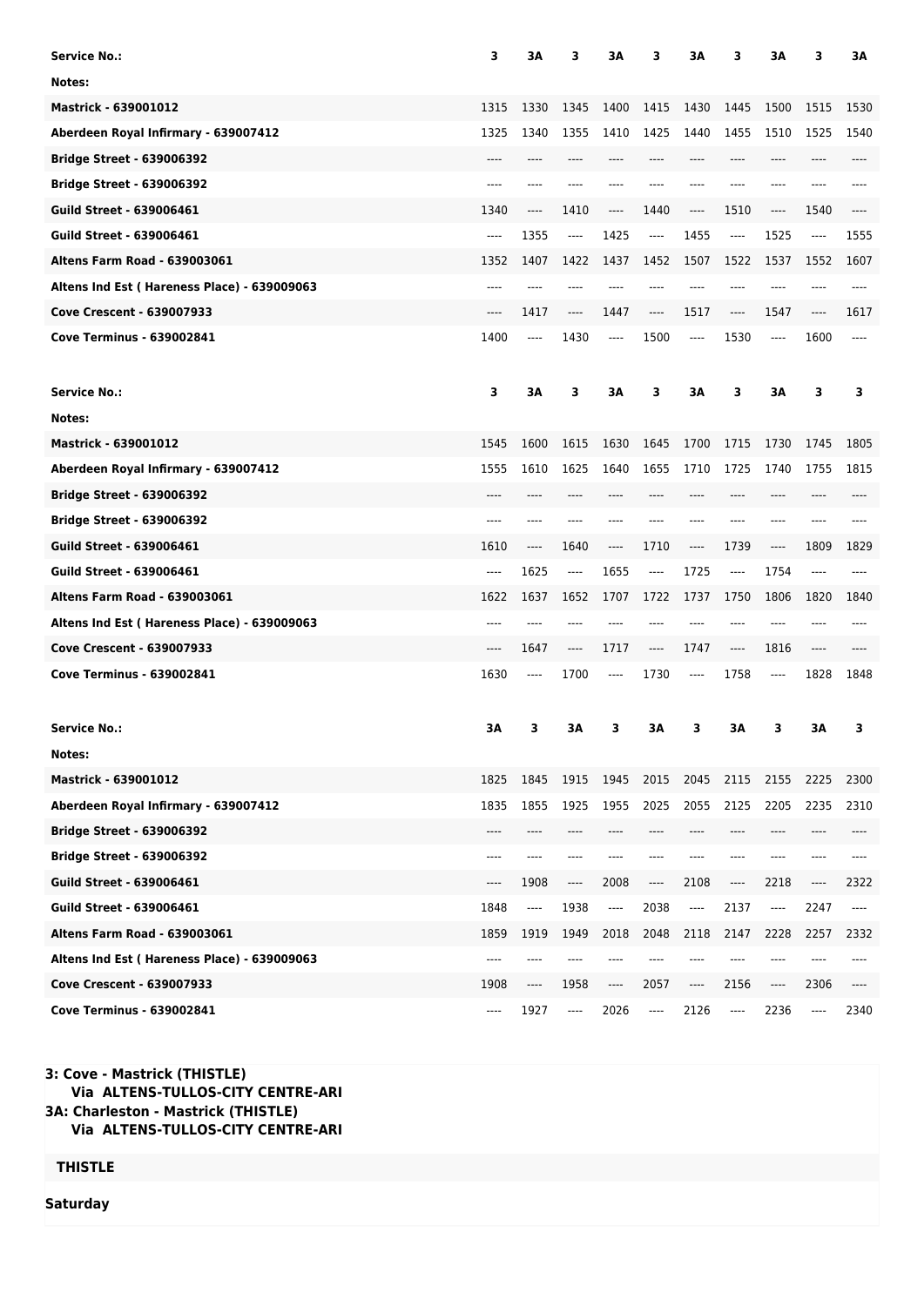| <b>Service No.:</b>                         | 3     | ЗΑ                    | з                             | 3A                            | з                              | 3A                            | 3     | ЗΑ   | 3                             | ЗΑ   |
|---------------------------------------------|-------|-----------------------|-------------------------------|-------------------------------|--------------------------------|-------------------------------|-------|------|-------------------------------|------|
| Notes:                                      |       |                       |                               |                               |                                |                               |       |      |                               |      |
| <b>Mastrick - 639001012</b>                 | 1315  | 1330                  | 1345                          | 1400                          | 1415                           | 1430                          | 1445  | 1500 | 1515                          | 1530 |
| Aberdeen Royal Infirmary - 639007412        | 1325  | 1340                  | 1355                          | 1410                          | 1425                           | 1440                          | 1455  | 1510 | 1525                          | 1540 |
| <b>Bridge Street - 639006392</b>            | ----  |                       |                               |                               |                                | $---$                         | ----  | ---- |                               |      |
| <b>Bridge Street - 639006392</b>            | ----  |                       |                               |                               |                                | $---$                         | ----  | ---- |                               |      |
| <b>Guild Street - 639006461</b>             | 1340  | ----                  | 1410                          | ----                          | 1440                           | $---$                         | 1510  | ---- | 1540                          | ---- |
| <b>Guild Street - 639006461</b>             | ----  | 1355                  | $\cdots$                      | 1425                          | $-----$                        | 1455                          | $---$ | 1525 | $\cdots$                      | 1555 |
| <b>Altens Farm Road - 639003061</b>         | 1352  | 1407                  | 1422                          | 1437                          | 1452                           | 1507                          | 1522  | 1537 | 1552                          | 1607 |
| Altens Ind Est (Hareness Place) - 639009063 | ----  |                       |                               |                               |                                |                               | ----  |      |                               |      |
| <b>Cove Crescent - 639007933</b>            | $---$ | 1417                  | $---$                         | 1447                          | $-----$                        | 1517                          | $---$ | 1547 | $---$                         | 1617 |
| <b>Cove Terminus - 639002841</b>            | 1400  | ----                  | 1430                          | ----                          | 1500                           | ----                          | 1530  | ---- | 1600                          | ---- |
| <b>Service No.:</b>                         | 3     | 3A                    | 3                             | 3A                            | 3                              | 3A                            | 3     | ЗA   | 3                             | 3    |
| Notes:                                      |       |                       |                               |                               |                                |                               |       |      |                               |      |
| Mastrick - 639001012                        | 1545  | 1600                  | 1615                          | 1630                          | 1645                           | 1700                          | 1715  | 1730 | 1745                          | 1805 |
| Aberdeen Royal Infirmary - 639007412        | 1555  | 1610                  | 1625                          | 1640                          | 1655                           | 1710                          | 1725  | 1740 | 1755                          | 1815 |
| <b>Bridge Street - 639006392</b>            |       |                       |                               |                               |                                |                               |       |      |                               |      |
| <b>Bridge Street - 639006392</b>            | ----  | ----                  | ----                          |                               |                                | ----                          | ----  | ---- | ----                          |      |
| <b>Guild Street - 639006461</b>             | 1610  | ----                  | 1640                          | ----                          | 1710                           | $\cdots$                      | 1739  | ---- | 1809                          | 1829 |
| <b>Guild Street - 639006461</b>             | ----  | 1625                  | $\cdots$                      | 1655                          | $---$                          | 1725                          | $---$ | 1754 | $\cdots$                      |      |
| <b>Altens Farm Road - 639003061</b>         | 1622  | 1637                  | 1652                          | 1707                          | 1722                           | 1737                          | 1750  | 1806 | 1820                          | 1840 |
| Altens Ind Est (Hareness Place) - 639009063 | ----  |                       |                               |                               |                                |                               | ----  |      |                               |      |
| <b>Cove Crescent - 639007933</b>            | ----  | 1647                  | ----                          | 1717                          | ----                           | 1747                          | ----  | 1816 | $-----$                       |      |
| <b>Cove Terminus - 639002841</b>            | 1630  | ----                  | 1700                          | ----                          | 1730                           | $\cdots$                      | 1758  | ---- | 1828                          | 1848 |
| <b>Service No.:</b>                         | ЗΑ    | з                     | 3A                            | 3                             | ЗΑ                             | 3                             | ЗA    | 3    | 3A                            | з    |
| Notes:                                      |       |                       |                               |                               |                                |                               |       |      |                               |      |
| <b>Mastrick - 639001012</b>                 | 1825  | 1845                  | 1915                          | 1945                          | 2015                           | 2045                          | 2115  | 2155 | 2225                          | 2300 |
| Aberdeen Royal Infirmary - 639007412        | 1835  | 1855                  | 1925                          | 1955                          | 2025                           | 2055                          | 2125  | 2205 | 2235                          | 2310 |
| <b>Bridge Street - 639006392</b>            | ----  |                       |                               |                               | ----                           | ----                          | ----  |      |                               |      |
| <b>Bridge Street - 639006392</b>            | ----  | ----                  | ----                          | ----                          | ----                           |                               | ----  | ---- | ----                          |      |
| <b>Guild Street - 639006461</b>             | ----  | 1908                  | $\qquad \qquad - - -$         | 2008                          | $\qquad \qquad \textbf{---}$   | 2108                          | ----  | 2218 | $\hspace{1.5cm} \textbf{---}$ | 2322 |
| <b>Guild Street - 639006461</b>             | 1848  | $\qquad \qquad - - -$ | 1938                          | ----                          | 2038                           | ----                          | 2137  | ---- | 2247                          | ---- |
| <b>Altens Farm Road - 639003061</b>         | 1859  | 1919                  | 1949                          | 2018                          | 2048                           | 2118                          | 2147  | 2228 | 2257                          | 2332 |
| Altens Ind Est (Hareness Place) - 639009063 | ----  | ----                  | ----                          | ----                          | ----                           | ----                          | ----  | ---- | ----                          | ---- |
| <b>Cove Crescent - 639007933</b>            | 1908  | ----                  | 1958                          | $\hspace{1.5cm} \textbf{---}$ | 2057                           | $\hspace{1.5cm} \textbf{---}$ | 2156  | ---- | 2306                          | ---- |
| <b>Cove Terminus - 639002841</b>            | ----  | 1927                  | $\hspace{1.5cm} \textbf{---}$ | 2026                          | $\qquad \qquad \textbf{---}\\$ | 2126                          | ----  | 2236 | $\hspace{1.5cm} \textbf{---}$ | 2340 |

## **3: Cove - Mastrick (THISTLE) Via ALTENS-TULLOS-CITY CENTRE-ARI 3A: Charleston - Mastrick (THISTLE) Via ALTENS-TULLOS-CITY CENTRE-ARI**

**THISTLE**

**Saturday**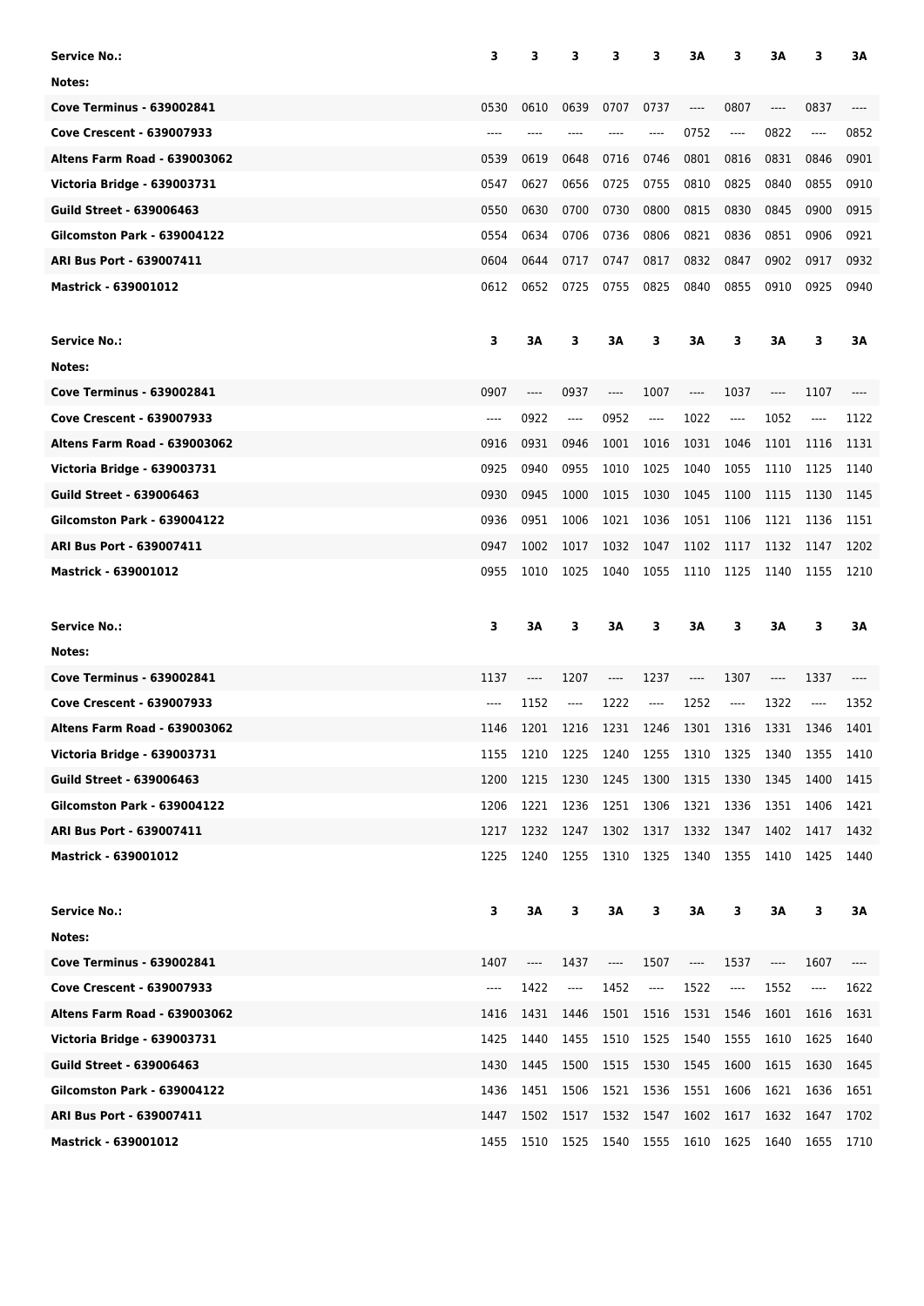| <b>Service No.:</b>                 | 3     | 3    | з                     | 3         | 3                                        | 3A                            | 3                             | ЗΑ                            | 3                             | ЗΑ   |
|-------------------------------------|-------|------|-----------------------|-----------|------------------------------------------|-------------------------------|-------------------------------|-------------------------------|-------------------------------|------|
| Notes:                              |       |      |                       |           |                                          |                               |                               |                               |                               |      |
| <b>Cove Terminus - 639002841</b>    | 0530  | 0610 | 0639                  | 0707      | 0737                                     | ----                          | 0807                          | $\hspace{1.5cm} \textbf{---}$ | 0837                          | ---- |
| <b>Cove Crescent - 639007933</b>    | ----  |      | ----                  |           | ----                                     | 0752                          | $---$                         | 0822                          | ----                          | 0852 |
| <b>Altens Farm Road - 639003062</b> | 0539  | 0619 | 0648                  | 0716      | 0746                                     | 0801                          | 0816                          | 0831                          | 0846                          | 0901 |
| Victoria Bridge - 639003731         | 0547  | 0627 | 0656                  | 0725      | 0755                                     | 0810                          | 0825                          | 0840                          | 0855                          | 0910 |
| <b>Guild Street - 639006463</b>     | 0550  | 0630 | 0700                  | 0730      | 0800                                     | 0815                          | 0830                          | 0845                          | 0900                          | 0915 |
| <b>Gilcomston Park - 639004122</b>  | 0554  | 0634 | 0706                  | 0736      | 0806                                     | 0821                          | 0836                          | 0851                          | 0906                          | 0921 |
| <b>ARI Bus Port - 639007411</b>     | 0604  | 0644 | 0717                  | 0747      | 0817                                     | 0832                          | 0847                          | 0902                          | 0917                          | 0932 |
| <b>Mastrick - 639001012</b>         | 0612  | 0652 | 0725                  | 0755      | 0825                                     | 0840                          | 0855                          | 0910                          | 0925                          | 0940 |
| <b>Service No.:</b>                 | 3     | ЗΑ   | 3                     | ЗΑ        | 3                                        | ЗΑ                            | 3                             | ЗΑ                            | 3                             | ЗΑ   |
| Notes:                              |       |      |                       |           |                                          |                               |                               |                               |                               |      |
| <b>Cove Terminus - 639002841</b>    | 0907  | ---- | 0937                  | ----      | 1007                                     | ----                          | 1037                          | $\hspace{1.5cm} \textbf{---}$ | 1107                          |      |
| <b>Cove Crescent - 639007933</b>    | ----  | 0922 | ----                  | 0952      | $\qquad \qquad \textbf{---}\\$           | 1022                          | ----                          | 1052                          | $\hspace{1.5cm} \textbf{---}$ | 1122 |
| <b>Altens Farm Road - 639003062</b> | 0916  | 0931 | 0946                  | 1001      | 1016                                     | 1031                          | 1046                          | 1101                          | 1116                          | 1131 |
| Victoria Bridge - 639003731         | 0925  | 0940 | 0955                  | 1010      | 1025                                     | 1040                          | 1055                          | 1110                          | 1125                          | 1140 |
| <b>Guild Street - 639006463</b>     | 0930  | 0945 | 1000                  | 1015      | 1030                                     | 1045                          | 1100                          | 1115                          | 1130                          | 1145 |
| <b>Gilcomston Park - 639004122</b>  | 0936  | 0951 | 1006                  | 1021      | 1036                                     | 1051                          | 1106                          | 1121                          | 1136                          | 1151 |
| ARI Bus Port - 639007411            | 0947  | 1002 | 1017                  | 1032      | 1047                                     | 1102                          | 1117                          | 1132                          | 1147                          | 1202 |
| <b>Mastrick - 639001012</b>         | 0955  | 1010 | 1025                  | 1040      | 1055                                     | 1110                          | 1125                          | 1140                          | 1155                          | 1210 |
|                                     |       |      |                       |           |                                          |                               |                               |                               |                               |      |
| <b>Service No.:</b>                 | 3     | ЗΑ   | 3                     | ЗΑ        | з                                        | 3A                            | 3                             | 3A                            | 3                             | ЗΑ   |
| Notes:                              |       |      |                       |           |                                          |                               |                               |                               |                               |      |
| <b>Cove Terminus - 639002841</b>    | 1137  | ---- | 1207                  | ----      | 1237                                     | ----                          | 1307                          | $\hspace{1.5cm} \textbf{---}$ | 1337                          | ---- |
| <b>Cove Crescent - 639007933</b>    | $---$ | 1152 | ----                  | 1222      | $\cdots$                                 | 1252                          | $\hspace{1.5cm} \textbf{---}$ | 1322                          | ----                          | 1352 |
| <b>Altens Farm Road - 639003062</b> | 1146  | 1201 | 1216                  | 1231      | 1246                                     | 1301                          | 1316                          | 1331                          | 1346                          | 1401 |
| Victoria Bridge - 639003731         | 1155  | 1210 | 1225                  | 1240 1255 |                                          |                               |                               |                               | 1310 1325 1340 1355 1410      |      |
| <b>Guild Street - 639006463</b>     | 1200  | 1215 | 1230                  | 1245      | 1300                                     | 1315                          | 1330                          | 1345                          | 1400                          | 1415 |
| <b>Gilcomston Park - 639004122</b>  | 1206  | 1221 | 1236                  | 1251      | 1306                                     | 1321                          | 1336                          | 1351                          | 1406                          | 1421 |
| ARI Bus Port - 639007411            | 1217  | 1232 | 1247                  | 1302      | 1317                                     | 1332                          | 1347                          | 1402                          | 1417                          | 1432 |
| <b>Mastrick - 639001012</b>         | 1225  | 1240 | 1255                  | 1310 1325 |                                          | 1340 1355                     |                               | 1410                          | 1425                          | 1440 |
| <b>Service No.:</b>                 | 3     | ЗΑ   | 3                     | ЗΑ        | 3                                        | ЗΑ                            | 3                             | ЗΑ                            | 3                             | ЗΑ   |
| Notes:                              |       |      |                       |           |                                          |                               |                               |                               |                               |      |
| <b>Cove Terminus - 639002841</b>    | 1407  | ---- | 1437                  | ----      | 1507                                     | $\hspace{1.5cm} \textbf{---}$ | 1537                          | ----                          | 1607                          |      |
| Cove Crescent - 639007933           | ----  | 1422 | $\qquad \qquad - - -$ | 1452      | $\hspace{0.05cm} \ldots \hspace{0.05cm}$ | 1522                          | ----                          | 1552                          | ----                          | 1622 |
| <b>Altens Farm Road - 639003062</b> | 1416  | 1431 | 1446                  | 1501      | 1516                                     | 1531                          | 1546                          | 1601                          | 1616                          | 1631 |
| Victoria Bridge - 639003731         | 1425  | 1440 | 1455                  | 1510      | 1525                                     | 1540                          | 1555                          | 1610                          | 1625                          | 1640 |
| <b>Guild Street - 639006463</b>     | 1430  | 1445 | 1500                  | 1515      | 1530                                     | 1545                          | 1600                          | 1615                          | 1630                          | 1645 |
| <b>Gilcomston Park - 639004122</b>  | 1436  | 1451 | 1506                  | 1521      | 1536                                     | 1551                          | 1606                          | 1621                          | 1636                          | 1651 |
| ARI Bus Port - 639007411            | 1447  | 1502 | 1517                  | 1532      | 1547                                     | 1602                          | 1617                          | 1632                          | 1647                          | 1702 |